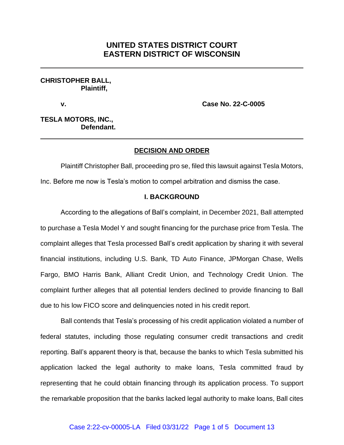# **UNITED STATES DISTRICT COURT EASTERN DISTRICT OF WISCONSIN**

## **CHRISTOPHER BALL, Plaintiff,**

**v. Case No. 22-C-0005**

**TESLA MOTORS, INC., Defendant.**

## **DECISION AND ORDER**

Plaintiff Christopher Ball, proceeding pro se, filed this lawsuit against Tesla Motors, Inc. Before me now is Tesla's motion to compel arbitration and dismiss the case.

### **I. BACKGROUND**

According to the allegations of Ball's complaint, in December 2021, Ball attempted to purchase a Tesla Model Y and sought financing for the purchase price from Tesla. The complaint alleges that Tesla processed Ball's credit application by sharing it with several financial institutions, including U.S. Bank, TD Auto Finance, JPMorgan Chase, Wells Fargo, BMO Harris Bank, Alliant Credit Union, and Technology Credit Union. The complaint further alleges that all potential lenders declined to provide financing to Ball due to his low FICO score and delinquencies noted in his credit report.

Ball contends that Tesla's processing of his credit application violated a number of federal statutes, including those regulating consumer credit transactions and credit reporting. Ball's apparent theory is that, because the banks to which Tesla submitted his application lacked the legal authority to make loans, Tesla committed fraud by representing that he could obtain financing through its application process. To support the remarkable proposition that the banks lacked legal authority to make loans, Ball cites

#### Case 2:22-cv-00005-LA Filed 03/31/22 Page 1 of 5 Document 13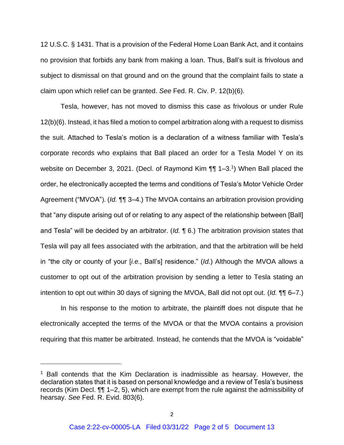12 U.S.C. § 1431. That is a provision of the Federal Home Loan Bank Act, and it contains no provision that forbids any bank from making a loan. Thus, Ball's suit is frivolous and subject to dismissal on that ground and on the ground that the complaint fails to state a claim upon which relief can be granted. *See* Fed. R. Civ. P. 12(b)(6).

Tesla, however, has not moved to dismiss this case as frivolous or under Rule 12(b)(6). Instead, it has filed a motion to compel arbitration along with a request to dismiss the suit. Attached to Tesla's motion is a declaration of a witness familiar with Tesla's corporate records who explains that Ball placed an order for a Tesla Model Y on its website on December 3, 2021. (Decl. of Raymond Kim ¶¶ 1–3.<sup>1</sup>) When Ball placed the order, he electronically accepted the terms and conditions of Tesla's Motor Vehicle Order Agreement ("MVOA"). (*Id.* ¶¶ 3–4.) The MVOA contains an arbitration provision providing that "any dispute arising out of or relating to any aspect of the relationship between [Ball] and Tesla" will be decided by an arbitrator. (*Id.* ¶ 6.) The arbitration provision states that Tesla will pay all fees associated with the arbitration, and that the arbitration will be held in "the city or county of your [*i.e.,* Ball's] residence." (*Id.*) Although the MVOA allows a customer to opt out of the arbitration provision by sending a letter to Tesla stating an intention to opt out within 30 days of signing the MVOA, Ball did not opt out. (*Id.* ¶¶ 6–7.)

In his response to the motion to arbitrate, the plaintiff does not dispute that he electronically accepted the terms of the MVOA or that the MVOA contains a provision requiring that this matter be arbitrated. Instead, he contends that the MVOA is "voidable"

<sup>&</sup>lt;sup>1</sup> Ball contends that the Kim Declaration is inadmissible as hearsay. However, the declaration states that it is based on personal knowledge and a review of Tesla's business records (Kim Decl. ¶¶ 1–2, 5), which are exempt from the rule against the admissibility of hearsay. *See* Fed. R. Evid. 803(6).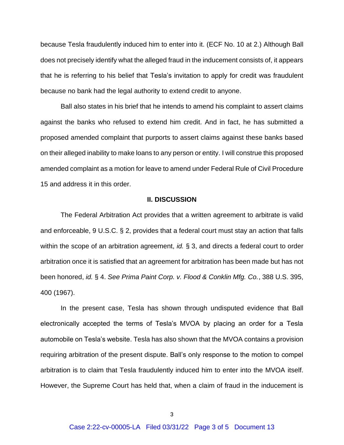because Tesla fraudulently induced him to enter into it. (ECF No. 10 at 2.) Although Ball does not precisely identify what the alleged fraud in the inducement consists of, it appears that he is referring to his belief that Tesla's invitation to apply for credit was fraudulent because no bank had the legal authority to extend credit to anyone.

Ball also states in his brief that he intends to amend his complaint to assert claims against the banks who refused to extend him credit. And in fact, he has submitted a proposed amended complaint that purports to assert claims against these banks based on their alleged inability to make loans to any person or entity. I will construe this proposed amended complaint as a motion for leave to amend under Federal Rule of Civil Procedure 15 and address it in this order.

## **II. DISCUSSION**

The Federal Arbitration Act provides that a written agreement to arbitrate is valid and enforceable, 9 U.S.C. § 2, provides that a federal court must stay an action that falls within the scope of an arbitration agreement, *id.* § 3, and directs a federal court to order arbitration once it is satisfied that an agreement for arbitration has been made but has not been honored, *id.* § 4. *See Prima Paint Corp. v. Flood & Conklin Mfg. Co.*, 388 U.S. 395, 400 (1967).

In the present case, Tesla has shown through undisputed evidence that Ball electronically accepted the terms of Tesla's MVOA by placing an order for a Tesla automobile on Tesla's website. Tesla has also shown that the MVOA contains a provision requiring arbitration of the present dispute. Ball's only response to the motion to compel arbitration is to claim that Tesla fraudulently induced him to enter into the MVOA itself. However, the Supreme Court has held that, when a claim of fraud in the inducement is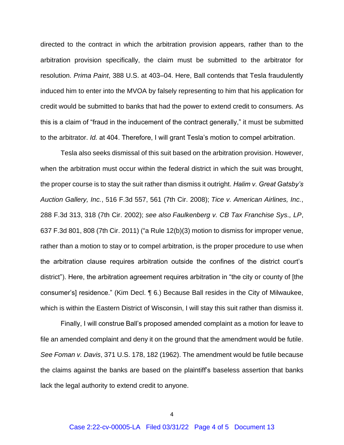directed to the contract in which the arbitration provision appears, rather than to the arbitration provision specifically, the claim must be submitted to the arbitrator for resolution. *Prima Paint*, 388 U.S. at 403–04. Here, Ball contends that Tesla fraudulently induced him to enter into the MVOA by falsely representing to him that his application for credit would be submitted to banks that had the power to extend credit to consumers. As this is a claim of "fraud in the inducement of the contract generally," it must be submitted to the arbitrator. *Id.* at 404. Therefore, I will grant Tesla's motion to compel arbitration.

Tesla also seeks dismissal of this suit based on the arbitration provision. However, when the arbitration must occur within the federal district in which the suit was brought, the proper course is to stay the suit rather than dismiss it outright. *Halim v. Great Gatsby's Auction Gallery, Inc.*, 516 F.3d 557, 561 (7th Cir. 2008); *Tice v. American Airlines, Inc.*, 288 F.3d 313, 318 (7th Cir. 2002); *see also Faulkenberg v. CB Tax Franchise Sys., LP*, 637 F.3d 801, 808 (7th Cir. 2011) ("a Rule 12(b)(3) motion to dismiss for improper venue, rather than a motion to stay or to compel arbitration, is the proper procedure to use when the arbitration clause requires arbitration outside the confines of the district court's district"). Here, the arbitration agreement requires arbitration in "the city or county of [the consumer's] residence." (Kim Decl. ¶ 6.) Because Ball resides in the City of Milwaukee, which is within the Eastern District of Wisconsin, I will stay this suit rather than dismiss it.

Finally, I will construe Ball's proposed amended complaint as a motion for leave to file an amended complaint and deny it on the ground that the amendment would be futile. *See Foman v. Davis*, 371 U.S. 178, 182 (1962). The amendment would be futile because the claims against the banks are based on the plaintiff's baseless assertion that banks lack the legal authority to extend credit to anyone.